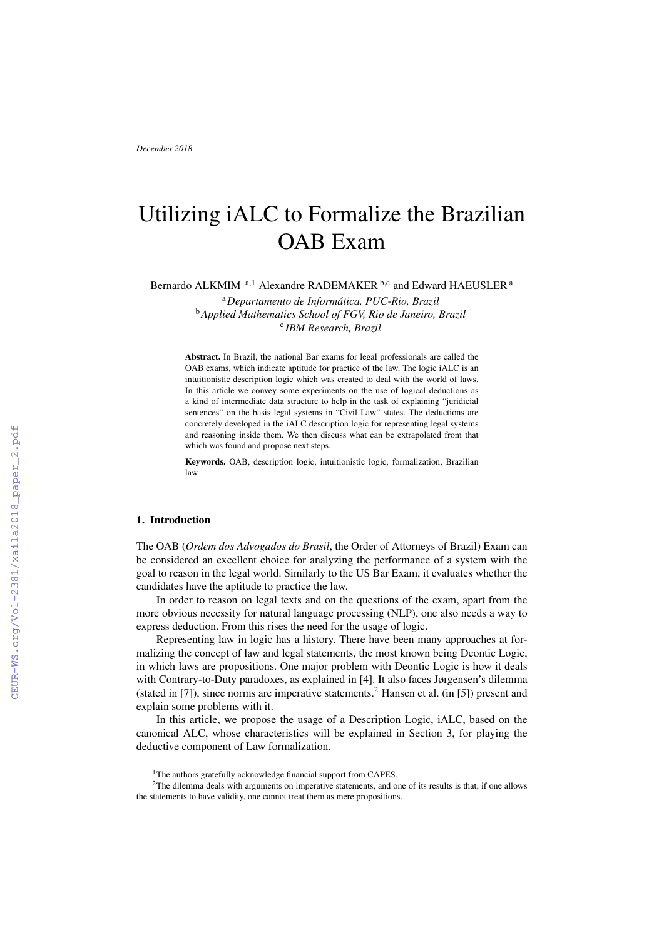# Utilizing iALC to Formalize the Brazilian OAB Exam

Bernardo ALKMIM<sup>a,1</sup> Alexandre RADEMAKER<sup>b,c</sup> and Edward HAEUSLER<sup>a</sup>

<sup>a</sup>*Departamento de Informatica, PUC-Rio, Brazil ´* <sup>b</sup>*Applied Mathematics School of FGV, Rio de Janeiro, Brazil* c *IBM Research, Brazil*

Abstract. In Brazil, the national Bar exams for legal professionals are called the OAB exams, which indicate aptitude for practice of the law. The logic iALC is an intuitionistic description logic which was created to deal with the world of laws. In this article we convey some experiments on the use of logical deductions as a kind of intermediate data structure to help in the task of explaining "juridicial sentences" on the basis legal systems in "Civil Law" states. The deductions are concretely developed in the iALC description logic for representing legal systems and reasoning inside them. We then discuss what can be extrapolated from that which was found and propose next steps.

Keywords. OAB, description logic, intuitionistic logic, formalization, Brazilian law

# 1. Introduction

The OAB (*Ordem dos Advogados do Brasil*, the Order of Attorneys of Brazil) Exam can be considered an excellent choice for analyzing the performance of a system with the goal to reason in the legal world. Similarly to the US Bar Exam, it evaluates whether the candidates have the aptitude to practice the law.

In order to reason on legal texts and on the questions of the exam, apart from the more obvious necessity for natural language processing (NLP), one also needs a way to express deduction. From this rises the need for the usage of logic.

Representing law in logic has a history. There have been many approaches at formalizing the concept of law and legal statements, the most known being Deontic Logic, in which laws are propositions. One major problem with Deontic Logic is how it deals with Contrary-to-Duty paradoxes, as explained in [4]. It also faces Jørgensen's dilemma (stated in [7]), since norms are imperative statements.<sup>2</sup> Hansen et al. (in [5]) present and explain some problems with it.

In this article, we propose the usage of a Description Logic, iALC, based on the canonical ALC, whose characteristics will be explained in Section 3, for playing the deductive component of Law formalization.

<sup>&</sup>lt;sup>1</sup>The authors gratefully acknowledge financial support from CAPES.

<sup>&</sup>lt;sup>2</sup>The dilemma deals with arguments on imperative statements, and one of its results is that, if one allows the statements to have validity, one cannot treat them as mere propositions.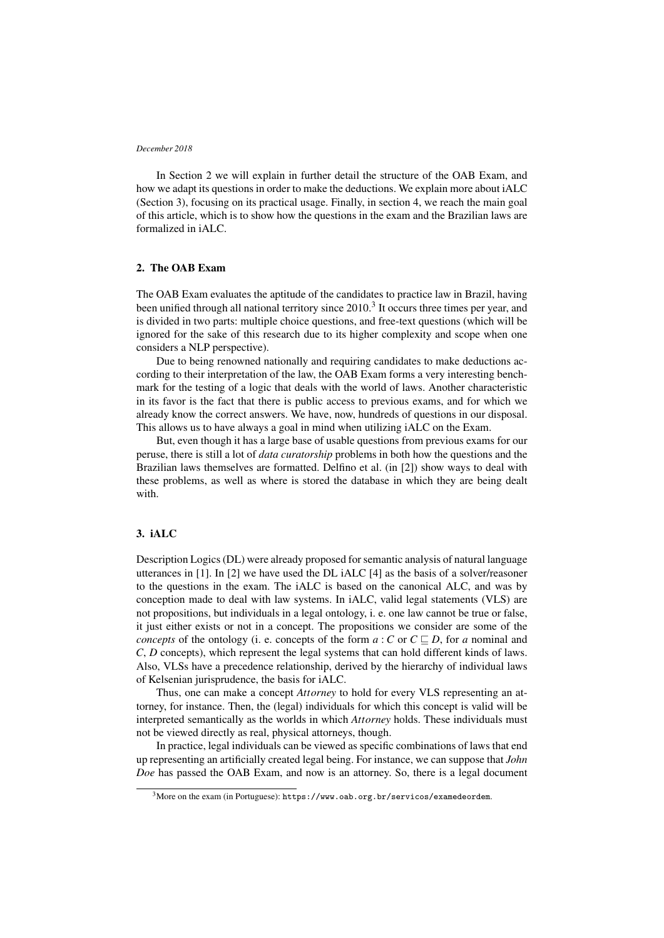In Section 2 we will explain in further detail the structure of the OAB Exam, and how we adapt its questions in order to make the deductions. We explain more about iALC (Section 3), focusing on its practical usage. Finally, in section 4, we reach the main goal of this article, which is to show how the questions in the exam and the Brazilian laws are formalized in iALC.

## 2. The OAB Exam

The OAB Exam evaluates the aptitude of the candidates to practice law in Brazil, having been unified through all national territory since  $2010<sup>3</sup>$  It occurs three times per year, and is divided in two parts: multiple choice questions, and free-text questions (which will be ignored for the sake of this research due to its higher complexity and scope when one considers a NLP perspective).

Due to being renowned nationally and requiring candidates to make deductions according to their interpretation of the law, the OAB Exam forms a very interesting benchmark for the testing of a logic that deals with the world of laws. Another characteristic in its favor is the fact that there is public access to previous exams, and for which we already know the correct answers. We have, now, hundreds of questions in our disposal. This allows us to have always a goal in mind when utilizing iALC on the Exam.

But, even though it has a large base of usable questions from previous exams for our peruse, there is still a lot of *data curatorship* problems in both how the questions and the Brazilian laws themselves are formatted. Delfino et al. (in [2]) show ways to deal with these problems, as well as where is stored the database in which they are being dealt with.

# 3. iALC

Description Logics (DL) were already proposed for semantic analysis of natural language utterances in [1]. In [2] we have used the DL iALC [4] as the basis of a solver/reasoner to the questions in the exam. The iALC is based on the canonical ALC, and was by conception made to deal with law systems. In iALC, valid legal statements (VLS) are not propositions, but individuals in a legal ontology, i. e. one law cannot be true or false, it just either exists or not in a concept. The propositions we consider are some of the *concepts* of the ontology (i. e. concepts of the form  $a : C$  or  $C \sqsubseteq D$ , for *a* nominal and *C*, *D* concepts), which represent the legal systems that can hold different kinds of laws. Also, VLSs have a precedence relationship, derived by the hierarchy of individual laws of Kelsenian jurisprudence, the basis for iALC.

Thus, one can make a concept *Attorney* to hold for every VLS representing an attorney, for instance. Then, the (legal) individuals for which this concept is valid will be interpreted semantically as the worlds in which *Attorney* holds. These individuals must not be viewed directly as real, physical attorneys, though.

In practice, legal individuals can be viewed as specific combinations of laws that end up representing an artificially created legal being. For instance, we can suppose that *John Doe* has passed the OAB Exam, and now is an attorney. So, there is a legal document

<sup>&</sup>lt;sup>3</sup>More on the exam (in Portuguese): https://www.oab.org.br/servicos/examedeordem.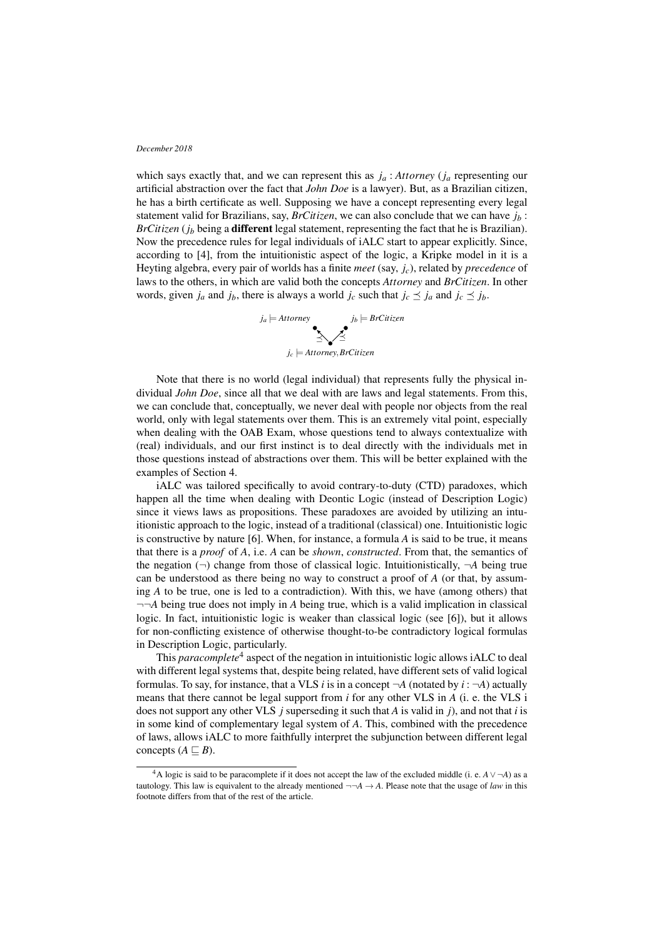which says exactly that, and we can represent this as *j<sup>a</sup>* : *Attorney* (*j<sup>a</sup>* representing our artificial abstraction over the fact that *John Doe* is a lawyer). But, as a Brazilian citizen, he has a birth certificate as well. Supposing we have a concept representing every legal statement valid for Brazilians, say, *BrCitizen*, we can also conclude that we can have  $j<sub>b</sub>$ : *BrCitizen* (*j<sup>b</sup>* being a different legal statement, representing the fact that he is Brazilian). Now the precedence rules for legal individuals of iALC start to appear explicitly. Since, according to [4], from the intuitionistic aspect of the logic, a Kripke model in it is a Heyting algebra, every pair of worlds has a finite *meet* (say, *jc*), related by *precedence* of laws to the others, in which are valid both the concepts *Attorney* and *BrCitizen*. In other words, given  $j_a$  and  $j_b$ , there is always a world  $j_c$  such that  $j_c \leq j_a$  and  $j_c \leq j_b$ .



Note that there is no world (legal individual) that represents fully the physical individual *John Doe*, since all that we deal with are laws and legal statements. From this, we can conclude that, conceptually, we never deal with people nor objects from the real world, only with legal statements over them. This is an extremely vital point, especially when dealing with the OAB Exam, whose questions tend to always contextualize with (real) individuals, and our first instinct is to deal directly with the individuals met in those questions instead of abstractions over them. This will be better explained with the examples of Section 4.

iALC was tailored specifically to avoid contrary-to-duty (CTD) paradoxes, which happen all the time when dealing with Deontic Logic (instead of Description Logic) since it views laws as propositions. These paradoxes are avoided by utilizing an intuitionistic approach to the logic, instead of a traditional (classical) one. Intuitionistic logic is constructive by nature [6]. When, for instance, a formula *A* is said to be true, it means that there is a *proof* of *A*, i.e. *A* can be *shown*, *constructed*. From that, the semantics of the negation  $(\neg)$  change from those of classical logic. Intuitionistically,  $\neg A$  being true can be understood as there being no way to construct a proof of *A* (or that, by assuming *A* to be true, one is led to a contradiction). With this, we have (among others) that ¬¬*A* being true does not imply in *A* being true, which is a valid implication in classical logic. In fact, intuitionistic logic is weaker than classical logic (see [6]), but it allows for non-conflicting existence of otherwise thought-to-be contradictory logical formulas in Description Logic, particularly.

This *paracomplete*<sup>4</sup> aspect of the negation in intuitionistic logic allows iALC to deal with different legal systems that, despite being related, have different sets of valid logical formulas. To say, for instance, that a VLS *i* is in a concept  $\neg A$  (notated by *i* :  $\neg A$ ) actually means that there cannot be legal support from *i* for any other VLS in *A* (i. e. the VLS i does not support any other VLS *j* superseding it such that *A* is valid in *j*), and not that *i* is in some kind of complementary legal system of *A*. This, combined with the precedence of laws, allows iALC to more faithfully interpret the subjunction between different legal concepts  $(A \sqsubseteq B)$ .

<sup>4</sup>A logic is said to be paracomplete if it does not accept the law of the excluded middle (i. e. *A*∨ ¬*A*) as a tautology. This law is equivalent to the already mentioned  $\neg A \rightarrow A$ . Please note that the usage of *law* in this footnote differs from that of the rest of the article.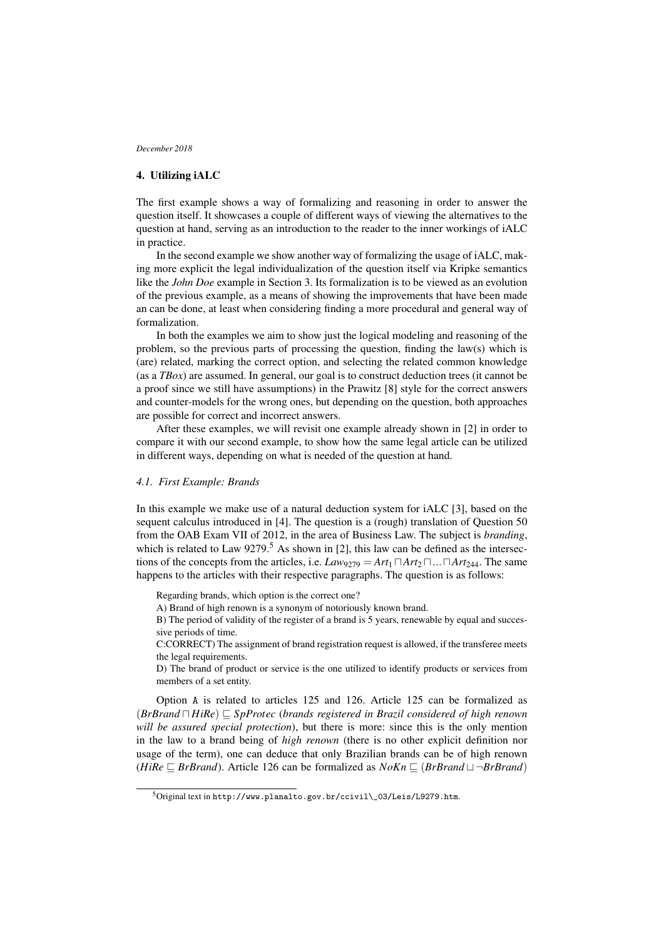# 4. Utilizing iALC

The first example shows a way of formalizing and reasoning in order to answer the question itself. It showcases a couple of different ways of viewing the alternatives to the question at hand, serving as an introduction to the reader to the inner workings of iALC in practice.

In the second example we show another way of formalizing the usage of iALC, making more explicit the legal individualization of the question itself via Kripke semantics like the *John Doe* example in Section 3. Its formalization is to be viewed as an evolution of the previous example, as a means of showing the improvements that have been made an can be done, at least when considering finding a more procedural and general way of formalization.

In both the examples we aim to show just the logical modeling and reasoning of the problem, so the previous parts of processing the question, finding the law(s) which is (are) related, marking the correct option, and selecting the related common knowledge (as a *TBox*) are assumed. In general, our goal is to construct deduction trees (it cannot be a proof since we still have assumptions) in the Prawitz [8] style for the correct answers and counter-models for the wrong ones, but depending on the question, both approaches are possible for correct and incorrect answers.

After these examples, we will revisit one example already shown in [2] in order to compare it with our second example, to show how the same legal article can be utilized in different ways, depending on what is needed of the question at hand.

## *4.1. First Example: Brands*

In this example we make use of a natural deduction system for iALC [3], based on the sequent calculus introduced in [4]. The question is a (rough) translation of Question 50 from the OAB Exam VII of 2012, in the area of Business Law. The subject is *branding*, which is related to Law  $9279$ .<sup>5</sup> As shown in [2], this law can be defined as the intersections of the concepts from the articles, i.e.  $Law_{9279} = Art_1 \square Art_2 \square ... \square Art_{244}$ . The same happens to the articles with their respective paragraphs. The question is as follows:

Regarding brands, which option is the correct one?

A) Brand of high renown is a synonym of notoriously known brand.

B) The period of validity of the register of a brand is 5 years, renewable by equal and successive periods of time.

C:CORRECT) The assignment of brand registration request is allowed, if the transferee meets the legal requirements.

D) The brand of product or service is the one utilized to identify products or services from members of a set entity.

Option A is related to articles 125 and 126. Article 125 can be formalized as  $(BrBrand \sqcap HiRe) \sqsubseteq SpProtec$  (*brands registered in Brazil considered of high renown will be assured special protection*), but there is more: since this is the only mention in the law to a brand being of *high renown* (there is no other explicit definition nor usage of the term), one can deduce that only Brazilian brands can be of high renown (*HiRe*  $\sqsubseteq$  *BrBrand*). Article 126 can be formalized as  $NoKn \sqsubseteq (BrBrand \sqcup \neg BrBrand)$ 

<sup>5</sup>Original text in http://www.planalto.gov.br/ccivil\\_03/Leis/L9279.htm.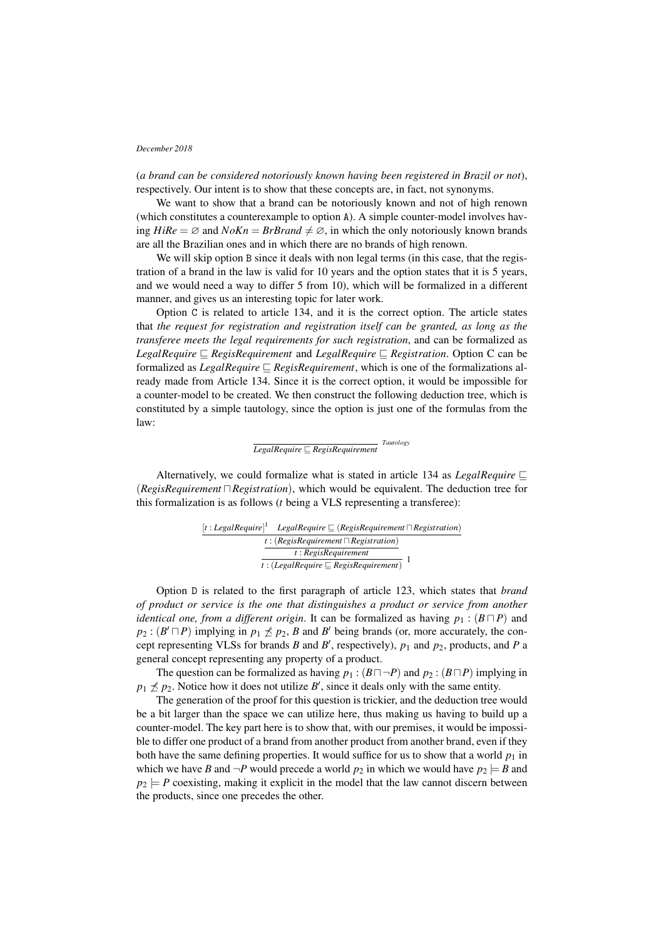(*a brand can be considered notoriously known having been registered in Brazil or not*), respectively. Our intent is to show that these concepts are, in fact, not synonyms.

We want to show that a brand can be notoriously known and not of high renown (which constitutes a counterexample to option A). A simple counter-model involves having  $HiRe = \emptyset$  and  $NoKn = BrBrand \neq \emptyset$ , in which the only notoriously known brands are all the Brazilian ones and in which there are no brands of high renown.

We will skip option B since it deals with non legal terms (in this case, that the registration of a brand in the law is valid for 10 years and the option states that it is 5 years, and we would need a way to differ 5 from 10), which will be formalized in a different manner, and gives us an interesting topic for later work.

Option C is related to article 134, and it is the correct option. The article states that *the request for registration and registration itself can be granted, as long as the transferee meets the legal requirements for such registration*, and can be formalized as *LegalRequire*  $\subseteq$  *RegisRequirement* and *LegalRequire*  $\subseteq$  *Registration*. Option C can be formalized as *LegalRequire*  $\subseteq$  *RegisRequirement*, which is one of the formalizations already made from Article 134. Since it is the correct option, it would be impossible for a counter-model to be created. We then construct the following deduction tree, which is constituted by a simple tautology, since the option is just one of the formulas from the law:

# *LegalRequire ⊆**RegisRequirement Tautology*

Alternatively, we could formalize what is stated in article 134 as *LegalRequire*  $\Box$  $(RegisRegulariment \sqcap Registeration)$ , which would be equivalent. The deduction tree for this formalization is as follows (*t* being a VLS representing a transferee):

|                                               | $[t: LegendRequired]^T$ LegalRequire $\sqsubseteq$ (RegisRequirement $\sqcap$ Registration) |
|-----------------------------------------------|---------------------------------------------------------------------------------------------|
| $t: (Regis Regularement \sqcap Regularation)$ |                                                                                             |
|                                               | t: RegisRequired                                                                            |
|                                               | $\overline{t:(LegalRequired \sqsubseteq RegisRequired)}$                                    |

Option D is related to the first paragraph of article 123, which states that *brand of product or service is the one that distinguishes a product or service from another identical one, from a different origin*. It can be formalized as having  $p_1$ : ( $B \sqcap P$ ) and  $p_2$ :  $(B' \sqcap P)$  implying in  $p_1 \nleq p_2$ , *B* and *B*<sup> $\prime$ </sup> being brands (or, more accurately, the concept representing VLSs for brands *B* and *B'*, respectively),  $p_1$  and  $p_2$ , products, and *P* a general concept representing any property of a product.

The question can be formalized as having  $p_1$  :  $(B \sqcap \neg P)$  and  $p_2$  :  $(B \sqcap P)$  implying in  $p_1 \nleq p_2$ . Notice how it does not utilize *B*<sup> $\prime$ </sup>, since it deals only with the same entity.

The generation of the proof for this question is trickier, and the deduction tree would be a bit larger than the space we can utilize here, thus making us having to build up a counter-model. The key part here is to show that, with our premises, it would be impossible to differ one product of a brand from another product from another brand, even if they both have the same defining properties. It would suffice for us to show that a world  $p_1$  in which we have *B* and  $\neg P$  would precede a world  $p_2$  in which we would have  $p_2 \models B$  and  $p_2$   $\models$  *P* coexisting, making it explicit in the model that the law cannot discern between the products, since one precedes the other.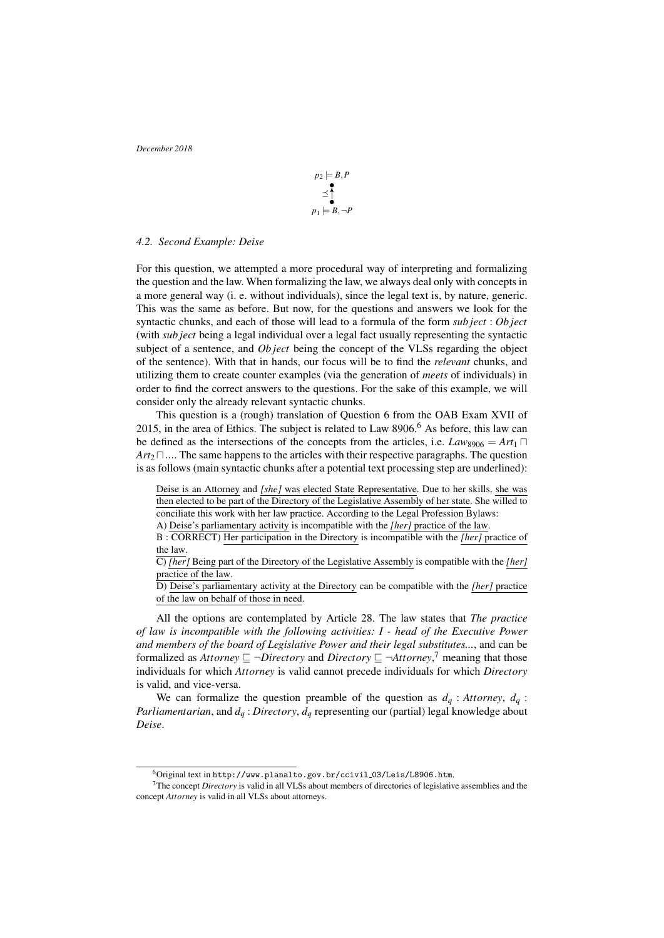$$
p_2 \models B, P
$$
  
\n
$$
\leq \uparrow
$$
  
\n
$$
p_1 \models B, \neg P
$$

#### *4.2. Second Example: Deise*

For this question, we attempted a more procedural way of interpreting and formalizing the question and the law. When formalizing the law, we always deal only with concepts in a more general way (i. e. without individuals), since the legal text is, by nature, generic. This was the same as before. But now, for the questions and answers we look for the syntactic chunks, and each of those will lead to a formula of the form *sub ject* : *Ob ject* (with *sub ject* being a legal individual over a legal fact usually representing the syntactic subject of a sentence, and *Ob ject* being the concept of the VLSs regarding the object of the sentence). With that in hands, our focus will be to find the *relevant* chunks, and utilizing them to create counter examples (via the generation of *meets* of individuals) in order to find the correct answers to the questions. For the sake of this example, we will consider only the already relevant syntactic chunks.

This question is a (rough) translation of Question 6 from the OAB Exam XVII of 2015, in the area of Ethics. The subject is related to Law 8906.<sup>6</sup> As before, this law can be defined as the intersections of the concepts from the articles, i.e.  $Law_{8906} = Art_1 \square$  $Art_2 \sqcap ...$  The same happens to the articles with their respective paragraphs. The question is as follows (main syntactic chunks after a potential text processing step are underlined):

Deise is an Attorney and *[she]* was elected State Representative. Due to her skills, she was then elected to be part of the Directory of the Legislative Assembly of her state. She willed to conciliate this work with her law practice. According to the Legal Profession Bylaws:

A) Deise's parliamentary activity is incompatible with the *[her]* practice of the law.

B : CORRECT) Her participation in the Directory is incompatible with the *[her]* practice of the law.

C) *[her]* Being part of the Directory of the Legislative Assembly is compatible with the *[her]* practice of the law.

D) Deise's parliamentary activity at the Directory can be compatible with the *[her]* practice of the law on behalf of those in need.

All the options are contemplated by Article 28. The law states that *The practice of law is incompatible with the following activities: I - head of the Executive Power and members of the board of Legislative Power and their legal substitutes...*, and can be formalized as *Attorney*  $\subseteq \neg Directory$  and *Directory*  $\subseteq \neg Attonney$ ,<sup>7</sup> meaning that those individuals for which *Attorney* is valid cannot precede individuals for which *Directory* is valid, and vice-versa.

We can formalize the question preamble of the question as  $d_q$  : Attorney,  $d_q$  : *Parliamentarian*, and *d<sup>q</sup>* : *Directory*, *d<sup>q</sup>* representing our (partial) legal knowledge about *Deise*.

 $^6$ Original text in http://www.planalto.gov.br/ccivil\_03/Leis/L8906.htm.

<sup>7</sup>The concept *Directory* is valid in all VLSs about members of directories of legislative assemblies and the concept *Attorney* is valid in all VLSs about attorneys.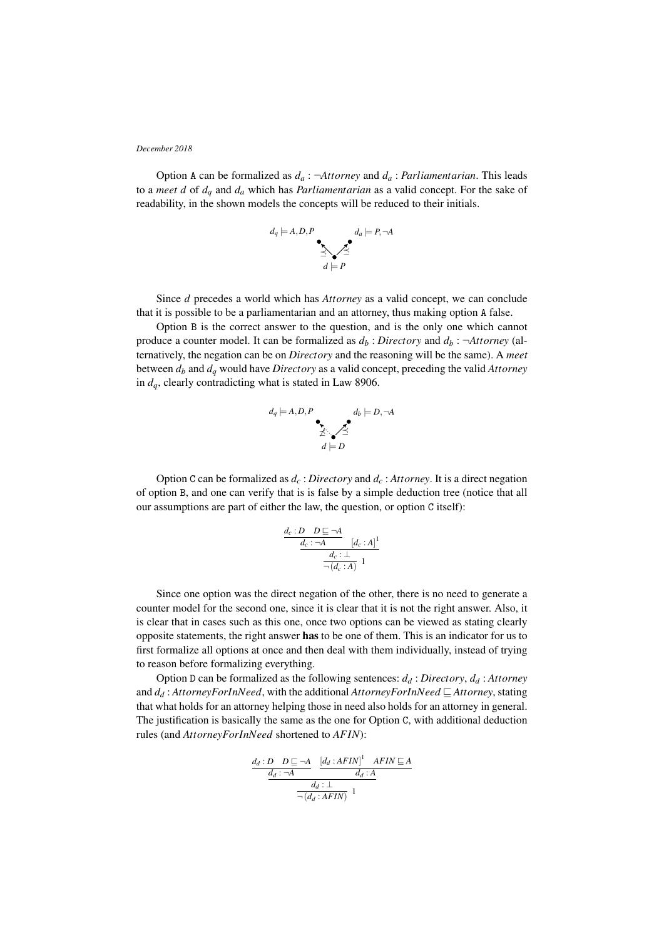Option A can be formalized as  $d_a$ :  $\neg$ Attorney and  $d_a$ : *Parliamentarian*. This leads to a *meet d* of  $d_a$  and  $d_a$  which has *Parliamentarian* as a valid concept. For the sake of readability, in the shown models the concepts will be reduced to their initials.



Since *d* precedes a world which has *Attorney* as a valid concept, we can conclude that it is possible to be a parliamentarian and an attorney, thus making option A false.

Option B is the correct answer to the question, and is the only one which cannot produce a counter model. It can be formalized as  $d_b$ : *Directory* and  $d_b$ :  $\neg$ *Attorney* (alternatively, the negation can be on *Directory* and the reasoning will be the same). A *meet* between *d<sup>b</sup>* and *d<sup>q</sup>* would have *Directory* as a valid concept, preceding the valid *Attorney* in *dq*, clearly contradicting what is stated in Law 8906.



Option C can be formalized as  $d_c$ : *Directory* and  $d_c$ : *Attorney*. It is a direct negation of option B, and one can verify that is is false by a simple deduction tree (notice that all our assumptions are part of either the law, the question, or option C itself):

$$
\frac{d_c: D \quad D \sqsubseteq \neg A}{\frac{d_c: \neg A}{\neg(d_c: A)} \quad [d_c: A]^1}
$$

Since one option was the direct negation of the other, there is no need to generate a counter model for the second one, since it is clear that it is not the right answer. Also, it is clear that in cases such as this one, once two options can be viewed as stating clearly opposite statements, the right answer has to be one of them. This is an indicator for us to first formalize all options at once and then deal with them individually, instead of trying to reason before formalizing everything.

Option D can be formalized as the following sentences: *d<sup>d</sup>* : *Directory*, *d<sup>d</sup>* : *Attorney* and  $d_d$ : *AttorneyForInNeed*, with the additional *AttorneyForInNeed*  $\subseteq$  *Attorney*, stating that what holds for an attorney helping those in need also holds for an attorney in general. The justification is basically the same as the one for Option C, with additional deduction rules (and *AttorneyForInNeed* shortened to *AF IN*):

$$
\underbrace{\frac{d_d:D\quad D \sqsubseteq \neg A}{\underline{d_d:\neg A}} \underbrace{\frac{\left[d_d:AFIN\right]^1 \quad AFIN \sqsubseteq A}{\underline{d_d:A}}}_{\neg \left(d_d:AFIN\right)} }_{1}
$$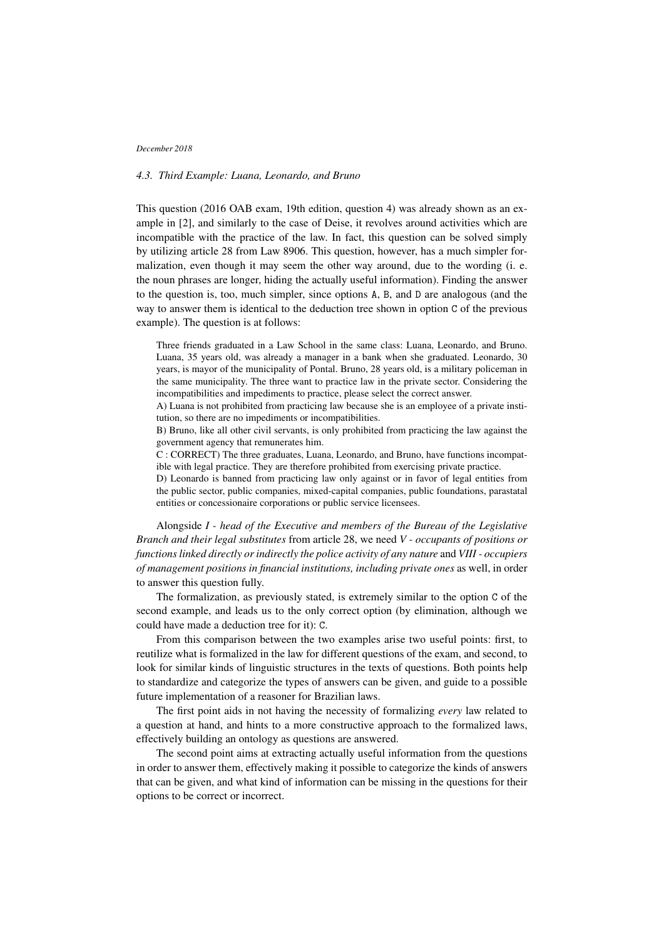## *4.3. Third Example: Luana, Leonardo, and Bruno*

This question (2016 OAB exam, 19th edition, question 4) was already shown as an example in [2], and similarly to the case of Deise, it revolves around activities which are incompatible with the practice of the law. In fact, this question can be solved simply by utilizing article 28 from Law 8906. This question, however, has a much simpler formalization, even though it may seem the other way around, due to the wording (i. e. the noun phrases are longer, hiding the actually useful information). Finding the answer to the question is, too, much simpler, since options A, B, and D are analogous (and the way to answer them is identical to the deduction tree shown in option C of the previous example). The question is at follows:

Three friends graduated in a Law School in the same class: Luana, Leonardo, and Bruno. Luana, 35 years old, was already a manager in a bank when she graduated. Leonardo, 30 years, is mayor of the municipality of Pontal. Bruno, 28 years old, is a military policeman in the same municipality. The three want to practice law in the private sector. Considering the incompatibilities and impediments to practice, please select the correct answer.

A) Luana is not prohibited from practicing law because she is an employee of a private institution, so there are no impediments or incompatibilities.

B) Bruno, like all other civil servants, is only prohibited from practicing the law against the government agency that remunerates him.

C : CORRECT) The three graduates, Luana, Leonardo, and Bruno, have functions incompatible with legal practice. They are therefore prohibited from exercising private practice.

D) Leonardo is banned from practicing law only against or in favor of legal entities from the public sector, public companies, mixed-capital companies, public foundations, parastatal entities or concessionaire corporations or public service licensees.

Alongside *I - head of the Executive and members of the Bureau of the Legislative Branch and their legal substitutes* from article 28, we need *V - occupants of positions or functions linked directly or indirectly the police activity of any nature* and *VIII - occupiers of management positions in financial institutions, including private ones* as well, in order to answer this question fully.

The formalization, as previously stated, is extremely similar to the option C of the second example, and leads us to the only correct option (by elimination, although we could have made a deduction tree for it): C.

From this comparison between the two examples arise two useful points: first, to reutilize what is formalized in the law for different questions of the exam, and second, to look for similar kinds of linguistic structures in the texts of questions. Both points help to standardize and categorize the types of answers can be given, and guide to a possible future implementation of a reasoner for Brazilian laws.

The first point aids in not having the necessity of formalizing *every* law related to a question at hand, and hints to a more constructive approach to the formalized laws, effectively building an ontology as questions are answered.

The second point aims at extracting actually useful information from the questions in order to answer them, effectively making it possible to categorize the kinds of answers that can be given, and what kind of information can be missing in the questions for their options to be correct or incorrect.